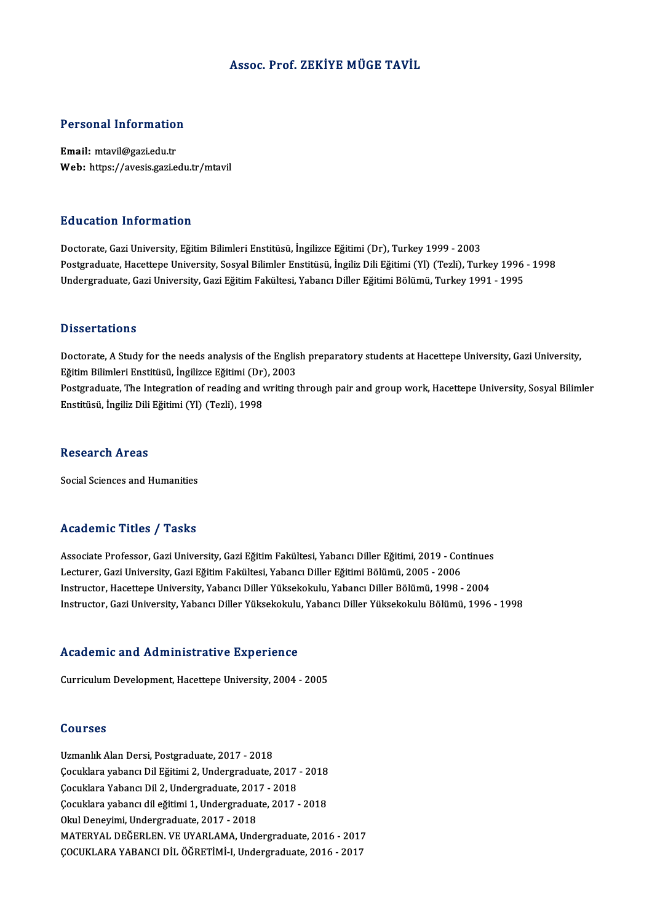#### Assoc. Prof. ZEKİYE MÜGE TAVİL

# Personal Information

Personal Information<br>Email: mtavil@gazi.edu.tr<br>Web: https://avesis.gazi.e Email: mtavil@gazi.edu.tr<br>Web: https://avesis.gazi.edu.tr/mtavil

#### Education Information

Doctorate, Gazi University, Eğitim Bilimleri Enstitüsü, İngilizce Eğitimi (Dr), Turkey 1999 - 2003 Postgraduate, Hacettepe University, Sosyal Bilimler Enstitüsü, İngiliz Dili Eğitimi (Yl) (Tezli), Turkey 1996 - 1998 Undergraduate, Gazi University, Gazi Eğitim Fakültesi, Yabancı Diller Eğitimi Bölümü, Turkey 1991 - 1995

#### **Dissertations**

Doctorate, A Study for the needs analysis of the English preparatory students at Hacettepe University, Gazi University, Eğitim Bilimleri Enstitüsü, İngilizce Eğitimi (Dr), 2003 Doctorate, A Study for the needs analysis of the English preparatory students at Hacettepe University, Gazi University,<br>Eğitim Bilimleri Enstitüsü, İngilizce Eğitimi (Dr), 2003<br>Postgraduate, The Integration of reading and Eğitim Bilimleri Enstitüsü, İngilizce Eğitimi (Dr)<br>Postgraduate, The Integration of reading and v<br>Enstitüsü, İngiliz Dili Eğitimi (Yl) (Tezli), 1998 Enstitüsü, İngiliz Dili Eğitimi (Yl) (Tezli), 1998<br>Research Areas

Social Sciences and Humanities

#### Academic Titles / Tasks

Academic Titles / Tasks<br>Associate Professor, Gazi University, Gazi Eğitim Fakültesi, Yabancı Diller Eğitimi, 2019 - Continues<br>Lestuner Cazi University Cazi Eğitim Fakültesi, Yabancı Diller Eğitimi Pölümü, 2005 - 2006 110aa SIII (\* 11035 )<br>Associate Professor, Gazi University, Gazi Eğitim Fakültesi, Yabancı Diller Eğitimi, 2019 - Cor<br>Lecturer, Gazi University, Gazi Eğitim Fakültesi, Yabancı Diller Eğitimi Bölümü, 2005 - 2006<br>Instructor Associate Professor, Gazi University, Gazi Eğitim Fakültesi, Yabancı Diller Eğitimi, 2019 - Continues<br>Lecturer, Gazi University, Gazi Eğitim Fakültesi, Yabancı Diller Eğitimi Bölümü, 2005 - 2006<br>Instructor, Hacettepe Unive Lecturer, Gazi University, Gazi Eğitim Fakültesi, Yabancı Diller Eğitimi Bölümü, 2005 - 2006<br>Instructor, Hacettepe University, Yabancı Diller Yüksekokulu, Yabancı Diller Bölümü, 1998 - 2004<br>Instructor, Gazi University, Yab

## nstructor, Gazi University, Yabanci Diller Yuksekokulu<br>Academic and Administrative Experience Academic and Administrative Experience<br>Curriculum Development, Hacettepe University, 2004 - 2005

Curriculum Development, Hacettepe University, 2004 - 2005<br>Courses

Uzmanlık Alan Dersi, Postgraduate, 2017 - 2018 USUNDUS<br>Uzmanlık Alan Dersi, Postgraduate, 2017 - 2018<br>Çocuklara yabancı Dil Eğitimi 2, Undergraduate, 2017 - 2018<br>Cosuklara Yabansı Dil 3, Undergraduate, 2017 - 2019 Uzmanlık Alan Dersi, Postgraduate, 2017 - 2018<br>Çocuklara yabancı Dil Eğitimi 2, Undergraduate, 2017<br>Çocuklara Yabancı Dil 2, Undergraduate, 2017 - 2018<br>Cocuklara yabancı dil eğitimi 1, Undergraduate, 2017 Çocuklara yabancı Dil Eğitimi 2, Undergraduate, 2017 - 2018<br>Çocuklara Yabancı Dil 2, Undergraduate, 2017 - 2018<br>Çocuklara yabancı dil eğitimi 1, Undergraduate, 2017 - 2018<br>Olul Denavimi Undergraduate, 2017, 2018 Cocuklara Yabancı Dil 2, Undergraduate, 2013<br>Cocuklara yabancı dil eğitimi 1, Undergradua<br>Okul Deneyimi, Undergraduate, 2017 - 2018<br>MATERYAL DEĞERLEN VE UVARLAMA Und Okul Deneyimi, Undergraduate, 2017 - 2018<br>MATERYAL DEĞERLEN. VE UYARLAMA, Undergraduate, 2016 - 2017 ÇOCUKLARAYABANCIDİLÖĞRETİMİ-I,Undergraduate,2016 -2017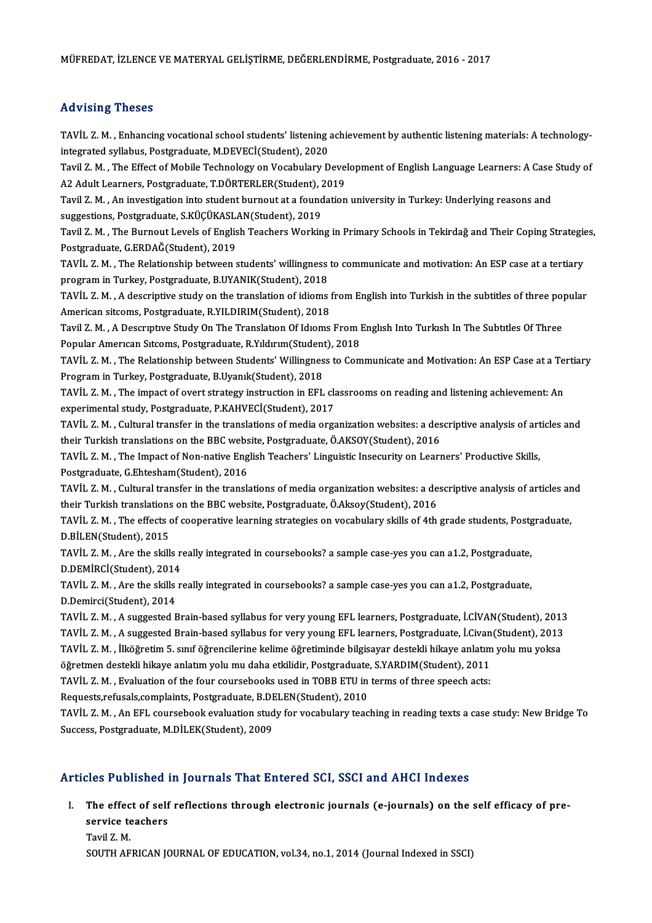## Advising Theses

Advising Theses<br>TAVİL Z. M. , Enhancing vocational school students' listening achievement by authentic listening materials: A technology-<br>integrated syllabus, Pestaraduate M DEVECİ(Student), 2020 inter ising a nesses<br>TAVİL Z. M. , Enhancing vocational school students' listening a<br>integrated syllabus, Postgraduate, M.DEVECİ(Student), 2020<br>Tavil Z. M. , The Effect of Mobile Technology on Vecebulary D TAVİL Z. M. , Enhancing vocational school students' listening achievement by authentic listening materials: A technology-<br>integrated syllabus, Postgraduate, M.DEVECİ(Student), 2020<br>Tavil Z. M. , The Effect of Mobile Techno

integrated syllabus, Postgraduate, M.DEVECİ(Student), 2020<br>Tavil Z. M. , The Effect of Mobile Technology on Vocabulary Deve<br>A2 Adult Learners, Postgraduate, T.DÖRTERLER(Student), 2019<br>Tavil Z. M. . An investigation into st Tavil Z. M. , The Effect of Mobile Technology on Vocabulary Development of English Language Learners: A Case<br>A2 Adult Learners, Postgraduate, T.DÖRTERLER(Student), 2019<br>Tavil Z. M. , An investigation into student burnout a

A2 Adult Learners, Postgraduate, T.DÖRTERLER(Student), 2019<br>Tavil Z. M. , An investigation into student burnout at a foundation university in Turkey: Underlying reasons and<br>suggestions, Postgraduate, S.KÜÇÜKASLAN(Student), Tavil Z. M. , An investigation into student burnout at a foundation university in Turkey: Underlying reasons and<br>suggestions, Postgraduate, S.KÜÇÜKASLAN(Student), 2019<br>Tavil Z. M. , The Burnout Levels of English Teachers W

suggestions, Postgraduate, S.KÜÇÜKASL.<br>Tavil Z. M. , The Burnout Levels of Englis<br>Postgraduate, G.ERDAĞ(Student), 2019<br>TAVİL Z. M....The Belationship between.c Tavil Z. M. , The Burnout Levels of English Teachers Working in Primary Schools in Tekirdağ and Their Coping Strategie<br>Postgraduate, G.ERDAĞ(Student), 2019<br>TAVİL Z. M. , The Relationship between students' willingness to co

Postgraduate, G.ERDAĞ(Student), 2019<br>TAVİL Z. M. , The Relationship between students' willingness to communicate and motivation: An ESP case at a tertiary<br>program in Turkey, Postgraduate, B.UYANIK(Student), 2018 TAVİL Z.M. , The Relationship between students' willingness to communicate and motivation: An ESP case at a tertiary<br>program in Turkey, Postgraduate, B.UYANIK(Student), 2018<br>TAVİL Z.M. , A descriptive study on the translat

program in Turkey, Postgraduate, B.UYANIK(Student), 2018<br>TAVİL Z. M. , A descriptive study on the translation of idioms !<br>American sitcoms, Postgraduate, R.YILDIRIM(Student), 2018<br>Tavil Z. M. . A Descriptive Study On The T TAVİL Z. M. , A descriptive study on the translation of idioms from English into Turkish in the subtitles of three poj<br>American sitcoms, Postgraduate, R.YILDIRIM(Student), 2018<br>Tavil Z. M. , A Descriptive Study On The Tran

American sitcoms, Postgraduate, R.YILDIRIM(Student), 2018<br>Tavil Z. M. , A Descriptive Study On The Translation Of Idioms From I<br>Popular American Sitcoms, Postgraduate, R.Yildirim(Student), 2018<br>TAVIL Z. M. ...The Belations Tavil Z. M. , A Descriptive Study On The Translation Of Idioms From English Into Turkish In The Subtitles Of Three<br>Popular American Sitcoms, Postgraduate, R.Yildirim(Student), 2018<br>TAVİL Z. M. , The Relationship between St

Popular American Sitcoms, Postgraduate, R.Yildirim(Student<br>TAVİL Z. M. , The Relationship between Students' Willingnes<br>Program in Turkey, Postgraduate, B.Uyanık(Student), 2018<br>TAVİL Z. M. ...The impact of evert strategy in TAVİL Z. M. , The Relationship between Students' Willingness to Communicate and Motivation: An ESP Case at a Te<br>Program in Turkey, Postgraduate, B.Uyanık(Student), 2018<br>TAVİL Z. M. , The impact of overt strategy instructio

Program in Turkey, Postgraduate, B.Uyanık(Student), 2018<br>TAVİL Z. M. , The impact of overt strategy instruction in EFL classrooms on reading and listening achievement: An<br>experimental study, Postgraduate, P.KAHVECİ(Student TAVİL Z. M. , The impact of overt strategy instruction in EFL classrooms on reading and listening achievement: An<br>experimental study, Postgraduate, P.KAHVECİ(Student), 2017<br>TAVİL Z. M. , Cultural transfer in the translatio

experimental study, Postgraduate, P.KAHVECİ(Student), 2017<br>TAVİL Z. M. , Cultural transfer in the translations of media organization websites: a des<br>their Turkish translations on the BBC website, Postgraduate, Ö.AKSOY(Stud TAVİL Z. M. , Cultural transfer in the translations of media organization websites: a descriptive analysis of art<br>their Turkish translations on the BBC website, Postgraduate, Ö.AKSOY(Student), 2016<br>TAVİL Z. M. , The Impact

their Turkish translations on the BBC webs<br>TAVİL Z. M. , The Impact of Non-native Eng<br>Postgraduate, G.Ehtesham(Student), 2016<br>TAVİL Z. M. Gultural transfor in the transla TAVİL Z. M. , The Impact of Non-native English Teachers' Linguistic Insecurity on Learners' Productive Skills,<br>Postgraduate, G.Ehtesham(Student), 2016<br>TAVİL Z. M. , Cultural transfer in the translations of media organizati

Postgraduate, G.Ehtesham(Student), 2016<br>TAVİL Z. M. , Cultural transfer in the translations of media organization websites: a descriptive analysis of articles and<br>their Turkish translations on the BBC website, Postgraduate TAVİL Z. M. , Cultural transfer in the translations of media organization websites: a descriptive analysis of articles ar<br>their Turkish translations on the BBC website, Postgraduate, Ö.Aksoy(Student), 2016<br>TAVİL Z. M. , Th

their Turkish translations<br>TAVİL Z. M. , The effects of<br>D.BİLEN(Student), 2015<br>TAVİL Z. M. , Are the ekill TAVİL Z. M. , The effects of cooperative learning strategies on vocabulary skills of 4th grade students, Postg<br>D.BİLEN(Student), 2015<br>TAVİL Z. M. , Are the skills really integrated in coursebooks? a sample case-yes you can

D.BİLEN(Student), 2015<br>TAVİL Z. M. , Are the skills r<br>D.DEMİRCİ(Student), 2014<br>TAVİL Z. M. , Are the skills r TAVİL Z. M. , Are the skills really integrated in coursebooks? a sample case-yes you can a1.2, Postgraduate,<br>D.DEMİRCİ(Student), 2014<br>TAVİL Z. M. , Are the skills really integrated in coursebooks? a sample case-yes you can

D.DEMİRCİ(Student), 2014<br>TAVİL Z. M. , Are the skills really integrated in coursebooks? a sample case-yes you can a1.2, Postgraduate,<br>D.Demirci(Student), 2014 TAVİL Z. M. , Are the skills really integrated in coursebooks? a sample case-yes you can a1.2, Postgraduate,<br>D.Demirci(Student), 2014<br>TAVİL Z. M. , A suggested Brain-based syllabus for very young EFL learners, Postgraduate

D.Demirci(Student), 2014<br>TAVİL Z. M. , A suggested Brain-based syllabus for very young EFL learners, Postgraduate, İ.CİVAN(Student), 2013<br>TAVİL Z. M. , A suggested Brain-based syllabus for very young EFL learners, Postgrad TAVİL Z. M. , A suggested Brain-based syllabus for very young EFL learners, Postgraduate, İ.CİVAN(Student), 2013<br>TAVİL Z. M. , A suggested Brain-based syllabus for very young EFL learners, Postgraduate, İ.Civan(Student), 2 TAVİL Z. M. , A suggested Brain-based syllabus for very young EFL learners, Postgraduate, İ.Civan<br>TAVİL Z. M. , İlköğretim 5. sınıf öğrencilerine kelime öğretiminde bilgisayar destekli hikaye anlatım<br>öğretmen destekli hika TAVİL Z. M. , İlköğretim 5. sınıf öğrencilerine kelime öğretiminde bilgisayar destekli hikaye anlatım<br>öğretmen destekli hikaye anlatım yolu mu daha etkilidir, Postgraduate, S.YARDIM(Student), 2011<br>TAVİL Z. M. , Evaluation

öğretmen destekli hikaye anlatım yolu mu daha etkilidir, Postgraduate<br>TAVİL Z. M. , Evaluation of the four coursebooks used in TOBB ETU in<br>Requests,refusals,complaints, Postgraduate, B.DELEN(Student), 2010<br>TAVİL Z. M. An E

Requests,refusals,complaints, Postgraduate, B.DELEN(Student), 2010

TAVİL Z. M. , Evaluation of the four coursebooks used in TOBB ETU in terms of three speech acts:<br>Requests,refusals,complaints, Postgraduate, B.DELEN(Student), 2010<br>TAVİL Z. M. , An EFL coursebook evaluation study for vocab

### Articles Published in Journals That Entered SCI, SSCI and AHCI Indexes

rticles Published in Journals That Entered SCI, SSCI and AHCI Indexes<br>I. The effect of self reflections through electronic journals (e-journals) on the self efficacy of pre-<br>convice teachers service teachers<br>The effect of self<br>service teachers<br>Tavil 7 M The effec<br>service te<br>Tavil Z. M.<br>SOUTH AF

service teachers<br>Tavil Z. M.<br>SOUTH AFRICAN JOURNAL OF EDUCATION, vol.34, no.1, 2014 (Journal Indexed in SSCI)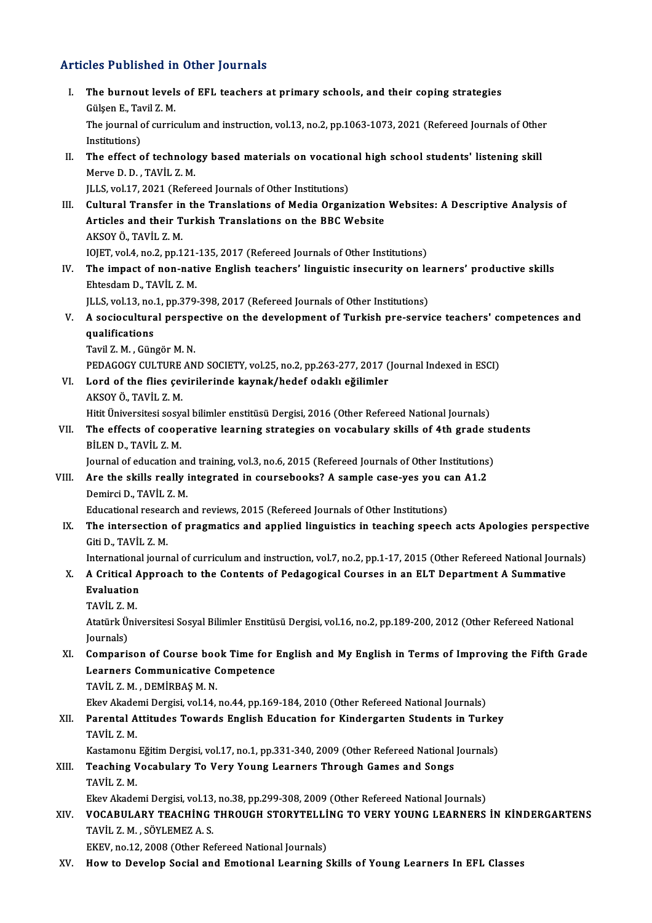### Articles Published in Other Journals

- rticles Published in Other Journals<br>I. The burnout levels of EFL teachers at primary schools, and their coping strategies<br>Cülsen E. Tavil 7 M The burnout level:<br>The burnout level:<br>Gülşen E., Tavil Z. M.<br>The journal of curric The burnout levels of EFL teachers at primary schools, and their coping strategies<br>Gülşen E., Tavil Z. M.<br>The journal of curriculum and instruction, vol.13, no.2, pp.1063-1073, 2021 (Refereed Journals of Other<br>Institutions Gülşen E., Tar<br>The journal c<br>Institutions)<br>The offect c The journal of curriculum and instruction, vol.13, no.2, pp.1063-1073, 2021 (Refereed Journals of Othe<br>Institutions)<br>II. The effect of technology based materials on vocational high school students' listening skill<br>Maryo D. Institutions)<br>The effect of technolo<br>Merve D. D. , TAVİL Z. M.<br>H.L.S. vel 17.2021 (Refer The effect of technology based materials on vocation<br>Merve D. D. , TAVIL Z. M.<br>JLLS, vol.17, 2021 (Refereed Journals of Other Institutions) Merve D. D. , TAVİL Z. M.<br>ILLS, vol.17, 2021 (Refereed Journals of Other Institutions)<br>III. Cultural Transfer in the Translations of Media Organization Websites: A Descriptive Analysis of JLLS, vol.17, 2021 (Refereed Journals of Other Institutions)<br>Cultural Transfer in the Translations of Media Organization<br>Articles and their Turkish Translations on the BBC Website<br>AKSOV Ö. TAVİL Z.M Cultural Transfer in<br>Articles and their T<br>AKSOY Ö., TAVİL Z.M.<br>JOIET vol 4 no 2 nn 1 Articles and their Turkish Translations on the BBC Website<br>AKSOY Ö., TAVİL Z. M.<br>IOJET, vol.4, no.2, pp.121-135, 2017 (Refereed Journals of Other Institutions) AKSOY Ö., TAVİL Z. M.<br>IOJET, vol.4, no.2, pp.121-135, 2017 (Refereed Journals of Other Institutions)<br>IV. The impact of non-native English teachers' linguistic insecurity on learners' productive skills<br>Fitosdam D. TAVİL Z. IOJET, vol.4, no.2, pp.121-<br>The impact of non-nat<br>Ehtesdam D., TAVİL Z. M.<br>ULS vol.13, no.1, np.379. The impact of non-native English teachers' linguistic insecurity on le<br>Ehtesdam D., TAVİL Z. M.<br>JLLS, vol.13, no.1, pp.379-398, 2017 (Refereed Journals of Other Institutions) Ehtesdam D., TAVİL Z. M.<br>JLLS, vol.13, no.1, pp.379-398, 2017 (Refereed Journals of Other Institutions)<br>V. A sociocultural perspective on the development of Turkish pre-service teachers' competences and<br>qualifications JLLS, vol.13, no.<br>A sociocultura<br>qualifications<br>Tavil 7 M - Cün A sociocultural perspe<br>qualifications<br>Tavil Z. M. , Güngör M. N.<br>PEDACOCY CULTUPE AN qualifications<br>Tavil Z. M. , Güngör M. N.<br>PEDAGOGY CULTURE AND SOCIETY, vol.25, no.2, pp.263-277, 2017 (Journal Indexed in ESCI)<br>Lard of the flies equirilerinde kaynak/hedef edekl: eğilimler Tavil Z. M. , Güngör M. N.<br>PEDAGOGY CULTURE AND SOCIETY, vol.25, no.2, pp.263-277, 2017 (<br>VI. Lord of the flies çevirilerinde kaynak/hedef odaklı eğilimler<br>AKSOV Ö. TAVİL Z. M PEDAGOGY CULTURE<br>Lord of the flies çev<br>AKSOY Ö., TAVİL Z. M.<br>Hiti Üniversitesi sesv VI. Lord of the flies çevirilerinde kaynak/hedef odaklı eğilimler<br>AKSOY Ö., TAVİL Z. M.<br>Hitit Üniversitesi sosyal bilimler enstitüsü Dergisi, 2016 (Other Refereed National Journals) AKSOY Ö., TAVİL Z. M.<br>Hitit Üniversitesi sosyal bilimler enstitüsü Dergisi, 2016 (Other Refereed National Journals)<br>VII. The effects of cooperative learning strategies on vocabulary skills of 4th grade students<br>PULEN D Hitit Üniversitesi sosy:<br>The effects of coop<br>BİLEN D., TAVİL Z. M.<br>Journal of education a The effects of cooperative learning strategies on vocabulary skills of 4th grade st<br>BİLEN D., TAVİL Z. M.<br>Journal of education and training, vol.3, no.6, 2015 (Refereed Journals of Other Institutions) BİLEN D., TAVİL Z. M.<br>Journal of education and training, vol.3, no.6, 2015 (Refereed Journals of Other Institutions)<br>VIII. Are the skills really integrated in coursebooks? A sample case-yes you can A1.2<br>Deminsi D. TAVİL Z. Journal of education an<br>Are the skills really i<br>Demirci D., TAVİL Z. M.<br>Educational recearch at Are the skills really integrated in coursebooks? A sample case-yes you c<br>Demirci D., TAVİL Z. M.<br>Educational research and reviews, 2015 (Refereed Journals of Other Institutions)<br>The intersection of pregmatics and applied l Demirci D., TAVİL Z. M.<br>Educational research and reviews, 2015 (Refereed Journals of Other Institutions)<br>IX. The intersection of pragmatics and applied linguistics in teaching speech acts Apologies perspective<br>Giti D., Educational resear<br>The intersection<br>Giti D., TAVİL Z.M.<br>International journ The intersection of pragmatics and applied linguistics in teaching speech acts Apologies perspective<br>Giti D., TAVİL Z. M.<br>International journal of curriculum and instruction, vol.7, no.2, pp.1-17, 2015 (Other Refereed Nati Giti D., TAVİL Z. M.<br>International journal of curriculum and instruction, vol.7, no.2, pp.1-17, 2015 (Other Refereed National Journ<br>X. A Critical Approach to the Contents of Pedagogical Courses in an ELT Department A Summa Internationa<br>**A Critical A<br>Evaluation**<br>TAVIL 7 M X. A Critical Approach to the Contents of Pedagogical Courses in an ELT Department A Summative<br>Evaluation<br>TAVİL Z.M. Evaluation<br>TAVİL Z. M.<br>Atatürk Üniversitesi Sosyal Bilimler Enstitüsü Dergisi, vol.16, no.2, pp.189-200, 2012 (Other Refereed National TAVİL Z. N<br>Atatürk Ül<br>Journals)<br>Comporis Atatürk Üniversitesi Sosyal Bilimler Enstitüsü Dergisi, vol.16, no.2, pp.189-200, 2012 (Other Refereed National<br>Journals)<br>XI. Comparison of Course book Time for English and My English in Terms of Improving the Fifth Grade Journals)<br>Comparison of Course book Time for l<br>Learners Communicative Competence<br>TAVIL Z M - DEMIRRAS M N Comparison of Course boo<br>Learners Communicative (<br>TAVİL Z.M., DEMİRBAŞM.N.<br>Ekav Akadami Dargisi vol 14 Learners Communicative Competence<br>TAVİL Z. M. , DEMİRBAŞ M. N.<br>Ekev Akademi Dergisi, vol.14, no.44, pp.169-184, 2010 (Other Refereed National Journals) TAVİL Z. M. , DEMİRBAŞ M. N.<br>Ekev Akademi Dergisi, vol.14, no.44, pp.169-184, 2010 (Other Refereed National Journals)<br>XII. Parental Attitudes Towards English Education for Kindergarten Students in Turkey<br>TAVİL Z. M Ekev Akade<br>Parental A<br>TAVİL Z.M.<br>Katamanı Parental Attitudes Towards English Education for Kindergarten Students in Turkey<br>TAVİL Z. M.<br>Kastamonu Eğitim Dergisi, vol.17, no.1, pp.331-340, 2009 (Other Refereed National Journals)<br>Teaching Vocabulary To Vory Young Lea TAVİL Z. M.<br>Kastamonu Eğitim Dergisi, vol.17, no.1, pp.331-340, 2009 (Other Refereed National<br>XIII. Teaching Vocabulary To Very Young Learners Through Games and Songs<br>TAVİL Z. M. Kastamonu Eğitim Dergisi, vol.17, no.1, pp.331-340, 2009 (Other Refereed National Journals) Ekev Akademi Dergisi, vol.13, no.38, pp.299-308, 2009 (Other Refereed National Journals) TAVİL Z. M.<br>Ekev Akademi Dergisi, vol.13, no.38, pp.299-308, 2009 (Other Refereed National Journals)<br>XIV. VOCABULARY TEACHİNG THROUGH STORYTELLİNG TO VERY YOUNG LEARNERS İN KİNDERGARTENS<br>TAVİL Z. M. SÖVLEMEZ A. S Ekev Akademi Dergisi, vol.13,<br>**VOCABULARY TEACHÍNG<br>TAVÍL Z. M. , SÖYLEMEZ A. S.**<br>EKEV. no.12, 2008 (Other Bo **VOCABULARY TEACHING THROUGH STORYTELLI<br>TAVIL Z. M. , SÖYLEMEZ A. S.<br>EKEV, no.12, 2008 (Other Refereed National Journals)**<br>How to Dovelon Social and Emotional Learning S TAVİL Z. M. , SÖYLEMEZ A. S.<br>EKEV, no.12, 2008 (Other Refereed National Journals)<br>XV. How to Develop Social and Emotional Learning Skills of Young Learners In EFL Classes
-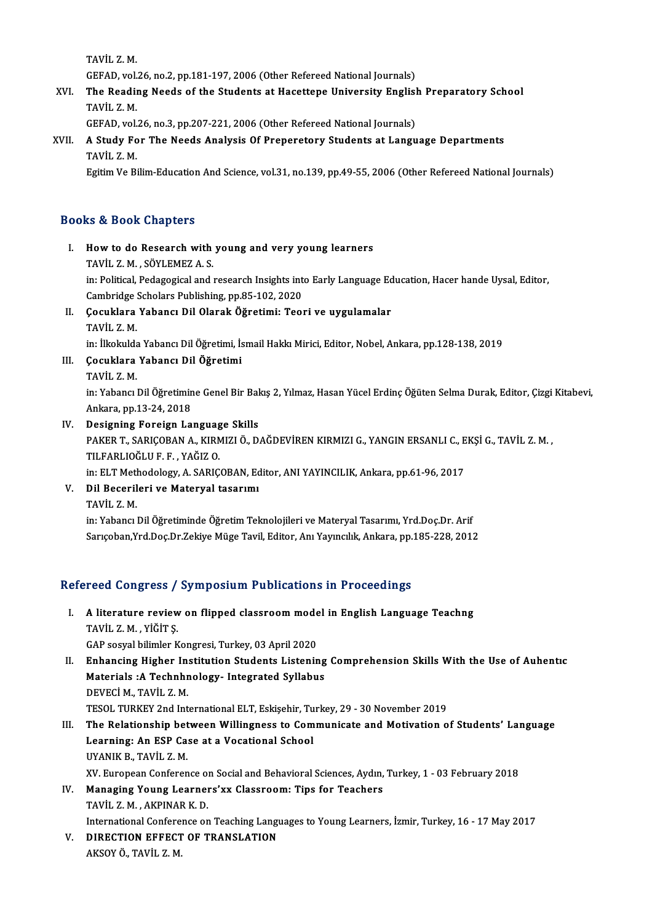TAVİL Z.M.

GEFAD, vol.26, no.2, pp.181-197, 2006 (Other Refereed National Journals)

TAVİL Z. M.<br>GEFAD, vol.26, no.2, pp.181-197, 2006 (Other Refereed National Journals)<br>XVI. The Reading Needs of the Students at Hacettepe University English Preparatory School<br>TAVIL Z. M GEFAD, vol.<br>The Readin<br>TAVİL Z.M.<br>GEFAD vol. The Reading Needs of the Students at Hacettepe University English<br>TAVİL Z.M.<br>GEFAD, vol.26, no.3, pp.207-221, 2006 (Other Refereed National Journals)<br>A Study For The Needs Analysis Of Preparatory Students at Langu

GEFAD, vol.26, no.3, pp.207-221, 2006 (Other Refereed National Journals)

# TAVIL Z. M.<br>GEFAD, vol.26, no.3, pp.207-221, 2006 (Other Refereed National Journals)<br>XVII. A Study For The Needs Analysis Of Preperetory Students at Language Departments<br>TAVIL Z. M.

Egitim Ve Bilim-Education And Science, vol.31, no.139, pp.49-55, 2006 (Other Refereed National Journals)

### Books&Book Chapters

OOks & Book Chapters<br>I. How to do Research with young and very young learners<br>TAVULZ M. SÖVLEMEZAS The Charles Cook Chapters<br>TAVİL Z.M., SÖYLEMEZ A.S.<br>In: Political Pedegogical and i How to do Research with young and very young learners<br>TAVİL Z. M. , SÖYLEMEZ A. S.<br>in: Political, Pedagogical and research Insights into Early Language Education, Hacer hande Uysal, Editor,<br>Cambridge Sebelars Publishing, p TAVİL Z. M. , SÖYLEMEZ A. S.<br>in: Political, Pedagogical and research Insights int<br>Cambridge Scholars Publishing, pp.85-102, 2020<br>Cosuklara Yabangı Dil Olarak Öğretimi: Teol in: Political, Pedagogical and research Insights into Early Language Ed<br>Cambridge Scholars Publishing, pp.85-102, 2020<br>II. Cocuklara Yabancı Dil Olarak Öğretimi: Teori ve uygulamalar<br>TAVİL Z M

## Cambridge :<br>**Çocuklara**<br>TAVİL Z.M.<br>in: İlinkilde Çocuklara Yabancı Dil Olarak Öğretimi: Teori ve uygulamalar<br>TAVİL Z. M.<br>in: İlkokulda Yabancı Dil Öğretimi, İsmail Hakkı Mirici, Editor, Nobel, Ankara, pp.128-138, 2019<br>Cosuklara Yabancı Dil Öğretimi TAVİL Z. M.<br>in: İlkokulda Yabancı Dil Öğretimi, İs<br>III. Gocuklara Yabancı Dil Öğretimi<br>TAVİL Z. M.

in: İlkokulda<br>**Çocuklara**<br>TAVİL Z. M.<br>in: <sup>Voboncu</sub>l</sup>

Çocuklara Yabancı Dil Öğretimi<br>TAVİL Z. M.<br>in: Yabancı Dil Öğretimine Genel Bir Bakış 2, Yılmaz, Hasan Yücel Erdinç Öğüten Selma Durak, Editor, Çizgi Kitabevi, TAVİL Z. M.<br>in: Yabancı Dil Öğretimir<br>Ankara, pp.13-24, 2018<br>Dosisning Foreisn La In: Yabancı Dil Öğretimine Genel Bir Bal<br>Ankara, pp.13-24, 2018<br>IV. Designing Foreign Language Skills<br>BAKER T. SABICORAN A. KIRMIZI Ö. D

## Ankara, pp.13-24, 2018<br>Designing Foreign Language Skills<br>PAKER T., SARIÇOBAN A., KIRMIZI Ö., DAĞDEVİREN KIRMIZI G., YANGIN ERSANLI C., EKŞİ G., TAVİL Z. M. ,<br>TILFARLIOĞLU F. F. , YAĞIZ O. Designing Foreign Languag<br>PAKER T., SARIÇOBAN A., KIRN<br>TILFARLIOĞLU F. F. , YAĞIZ O.<br>in: ELT Methodology, A. SARIC PAKER T., SARIÇOBAN A., KIRMIZI Ö., DAĞDEVİREN KIRMIZI G., YANGIN ERSANLI C., E<br>TILFARLIOĞLU F. F. , YAĞIZ O.<br>in: ELT Methodology, A. SARIÇOBAN, Editor, ANI YAYINCILIK, Ankara, pp.61-96, 2017<br>Dil Bosonilari ve Matarval tas TILFARLIOĞLU F. F. , YAĞIZ O.<br>in: ELT Methodology, A. SARIÇOBAN, Ec<br>V. Dil Becerileri ve Materyal tasarımı

in: ELT Met<mark>l</mark><br>Dil Beceril<br>TAVİL Z. M.<br>in: <sup>Vobong</sup> l Dil Becerileri ve Materyal tasarımı<br>TAVİL Z. M.<br>in: Yabancı Dil Öğretiminde Öğretim Teknolojileri ve Materyal Tasarımı, Yrd.Doç.Dr. Arif<br>Sarısaban Yrd Dos Dr.Zeltiye Müse Tavil, Editor, An Yoynatlık, Ankara, np.195, 229, 2

TAVİL Z. M.<br>in: Yabancı Dil Öğretiminde Öğretim Teknolojileri ve Materyal Tasarımı, Yrd.Doç.Dr. Arif<br>Sarıçoban,Yrd.Doç.Dr.Zekiye Müge Tavil, Editor, Anı Yayıncılık, Ankara, pp.185-228, 2012 Sarıçoban,Yrd.Doç.Dr.Zekiye Müge Tavil, Editor, Anı Yayıncılık, Ankara, pp.185-228, 2012<br>Refereed Congress / Symposium Publications in Proceedings

efereed Congress / Symposium Publications in Proceedings<br>I. A literature review on flipped classroom model in English Language Teachng<br>TAVILZ M. Vičins TOOL OOL BRITISH<br>A literature review<br>TAVİL Z.M., YİĞİTŞ. A literature review on flipped classroom mode<br>TAVİL Z. M. , YİĞİT Ş.<br>GAP sosyal bilimler Kongresi, Turkey, 03 April 2020<br>Enhanging Higher Institution Students Listenin TAVİL Z. M. , YİĞİT Ş.<br>GAP sosyal bilimler Kongresi, Turkey, 03 April 2020<br>II. Enhancing Higher Institution Students Listening Comprehension Skills With the Use of Auhentıc

GAP sosyal bilimler Kongresi, Turkey, 03 April 2020<br>Enhancing Higher Institution Students Listening<br>Materials :A Technhnology- Integrated Syllabus<br>DEVECLM TAVIL 7 M Enhancing Higher In:<br>Materials :A Technhr<br>DEVECİM., TAVİL Z.M.<br>TESOL TURKEV 2nd Int DEVECİ M., TAVİL Z. M.<br>TESOL TURKEY 2nd International ELT, Eskişehir, Turkey, 29 - 30 November 2019 DEVECİ M., TAVİL Z. M.<br>TESOL TURKEY 2nd International ELT, Eskişehir, Turkey, 29 - 30 November 2019<br>III. The Relationship between Willingness to Communicate and Motivation of Students' Language<br>I canning: An ESP Case at a

- TESOL TURKEY 2nd International ELT, Eskişehir, Tu<br>The Relationship between Willingness to Com<br>Learning: An ESP Case at a Vocational School<br>UVANIK P. TAVİL Z.M The Relationship bet<br>Learning: An ESP Ca<br>UYANIK B., TAVİL Z.M.<br>YV. Euroneen Cenferen Learning: An ESP Case at a Vocational School<br>UYANIK B., TAVİL Z. M.<br>XV. European Conference on Social and Behavioral Sciences, Aydın, Turkey, 1 - 03 February 2018<br>Managing Young Learnars'yy Classroom: Tine for Teashers
- UYANIK B., TAVİL Z. M.<br>XV. European Conference on Social and Behavioral Sciences, Aydın,<br>IV. Managing Young Learners'xx Classroom: Tips for Teachers<br>TAVİL Z.M. AKPINAR K.D. XV. European Conference of<br>Managing Young Learner<br>TAVİL Z. M. , AKPINAR K. D.<br>International Conference on Managing Young Learners'xx Classroom: Tips for Teachers<br>TAVİL Z. M. , AKPINAR K. D.<br>International Conference on Teaching Languages to Young Learners, İzmir, Turkey, 16 - 17 May 2017<br>PIRECTION EEEECT OE TRANSLATION

TAVİL Z. M., AKPINAR K. D.<br>International Conference on Teaching Langu<br>V. DIRECTION EFFECT OF TRANSLATION International Confere<br>DIRECTION EFFECT<br>AKSOY Ö., TAVİL Z. M.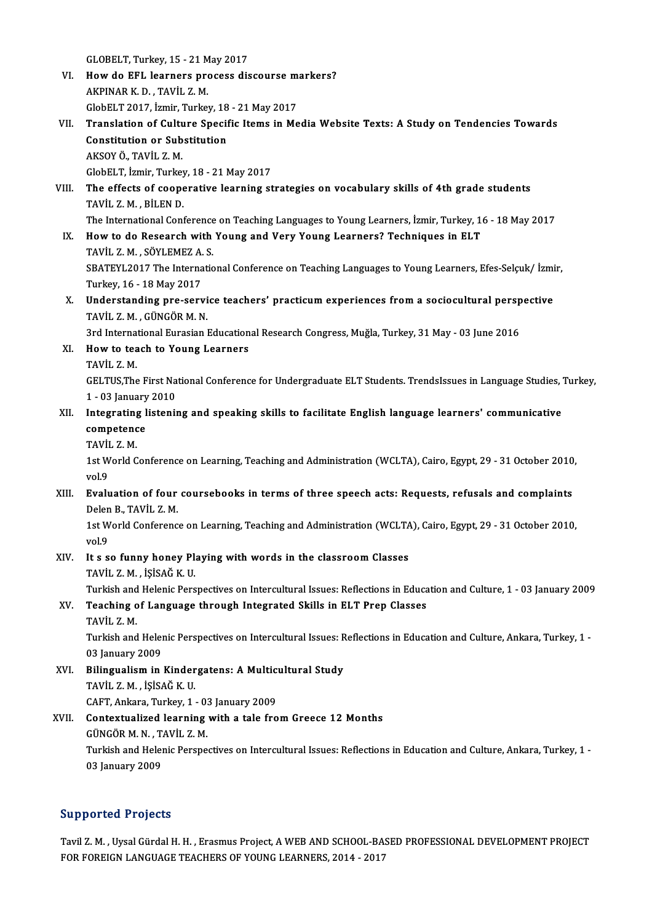GLOBELT, Turkey, 15 - 21 May 2017<br>How de FEL Jeanners presses dis

- VI. How do EFL learners process discourse markers?<br>AKPINAR K.D., TAVIL Z.M. GLOBELT, Turkey, 15 - 21 M<br>How do EFL learners pro<br>AKPINAR K. D. , TAVİL Z. M.<br>ClabELT 2017, İrmin Turka How do EFL learners process discourse m<br>AKPINAR K. D. , TAVİL Z. M.<br>GlobELT 2017, İzmir, Turkey, 18 - 21 May 2017<br>Translation of Culture Specific Itams in Ma
- VII. Translation of Culture Specific Items in Media Website Texts: A Study on Tendencies Towards<br>Constitution or Substitution GlobELT 2017, İzmir, Turkey, 18<br>Translation of Culture Specif<br>Constitution or Substitution<br>AKSOV Ö. TAVİL Z.M AKSOYÖ.,TAVİL Z.M. GlobELT, İzmir, Turkey, 18 - 21 May 2017 AKSOY Ö., TAVİL Z. M.<br>GlobELT, İzmir, Turkey, 18 - 21 May 2017<br>VIII. The effects of cooperative learning strategies on vocabulary skills of 4th grade students<br>TAVİL Z. M. PİLEN D.
- GlobELT, İzmir, Turkey<br>The effects of coope<br>TAVİL Z. M. , BİLEN D.<br>The International Conf The effects of cooperative learning strategies on vocabulary skills of 4th grade students<br>TAVİL Z. M. , BİLEN D.<br>The International Conference on Teaching Languages to Young Learners, İzmir, Turkey, 16 - 18 May 2017<br>How to

The International Conference on Teaching Languages to Young Learners, İzmir, Turkey, 16 - 18 May 2017

TAVİL Z. M. , BİLEN D.<br>The International Conference on Teaching Languages to Young Learners, İzmir, Turkey, 1<br>IX. How to do Research with Young and Very Young Learners? Techniques in ELT<br>TAVİL Z. M. , SÖYLEMEZ A. S. How to do Research with Young and Very Young Learners? Techniques in ELT<br>TAVİL Z. M. , SÖYLEMEZ A. S.<br>SBATEYL2017 The International Conference on Teaching Languages to Young Learners, Efes-Selçuk/ İzmir,<br>Turkay 16, 18 May

TAVİL Z. M. , SÖYLEMEZ A.<br>SBATEYL2017 The Interna<br>Turkey, 16 - 18 May 2017<br>Understanding nre. serv SBATEYL2017 The International Conference on Teaching Languages to Young Learners, Efes-Selçuk/ İzmi<br>Turkey, 16 - 18 May 2017<br>X. Understanding pre-service teachers' practicum experiences from a sociocultural perspective<br>TAV

Turkey, 16 - 18 May 2017<br><mark>Understanding pre-servi</mark><br>TAVİL Z. M. , GÜNGÖR M. N.<br><sup>2nd</sup> International Eunasian l Understanding pre-service teachers' practicum experiences from a sociocultural persp<br>TAVİL Z. M. , GÜNGÖR M. N.<br>3rd International Eurasian Educational Research Congress, Muğla, Turkey, 31 May - 03 June 2016<br>How to teach to TAVİL Z. M. , GÜNGÖR M. N.<br>3rd International Eurasian Education<br>XI. How to teach to Young Learners<br>TAVİL Z. M

3rd Interna<br>**How to tea<br>TAVİL Z.M.<br>GELTUS The** 

How to teach to Young Learners<br>TAVİL Z. M.<br>GELTUS,The First National Conference for Undergraduate ELT Students. TrendsIssues in Language Studies, Turkey, TAVİL Z. M.<br>GELTUS,The First Na<br>1 - 03 January 2010<br>Integrating listeni: GELTUS,The First National Conference for Undergraduate ELT Students. TrendsIssues in Language Studies,<br>1 - 03 January 2010<br>XII. Integrating listening and speaking skills to facilitate English language learners' communicati

1 - 03 January<br>Integrating l<br>competence<br>TAVILZ M Integrating<br>competenc<br>TAVİL Z.M.<br>1st World G

```
TAVIL Z M
```
0er ompetence<br>1st World Conference on Learning, Teaching and Administration (WCLTA), Cairo, Egypt, 29 - 31 October 2010,<br>1st World Conference on Learning, Teaching and Administration (WCLTA), Cairo, Egypt, 29 - 31 October 1st World Conference on Learning, Teaching and Administration (WCLTA), Cairo, Egypt, 29 - 31 October 2010<br>vol.9<br>XIII. Evaluation of four coursebooks in terms of three speech acts: Requests, refusals and complaints<br>Delan B.

vol.9<br><mark>Evaluation of four</mark><br>Delen B., TAVİL Z.M.<br>1st World Conferenc Evaluation of four coursebooks in terms of three speech acts: Requests, refusals and complaints<br>Delen B., TAVİL Z. M.<br>1st World Conference on Learning, Teaching and Administration (WCLTA), Cairo, Egypt, 29 - 31 October 201

Delen<br>1st W<br>vol.9<br>It.e.e 1st World Conference on Learning, Teaching and Administration (WCLTA<br>vol.9<br>XIV. It s so funny honey Playing with words in the classroom Classes<br>TAVIL Z M RISCAČ V U

vol.9<br>It s so funny honey Pl:<br>TAVİL Z. M. , İŞİSAĞ K. U.<br>Turkich and Holonis Borg

TAVİL Z. M. , İŞİSAĞ K. U.<br>Turkish and Helenic Perspectives on Intercultural Issues: Reflections in Education and Culture, 1 - 03 January 2009

TAVİL Z. M. , İŞİSAĞ K. U.<br>Turkish and Helenic Perspectives on Intercultural Issues: Reflections in Educa<br>XV. Teaching of Language through Integrated Skills in ELT Prep Classes<br>TAVİL Z. M Turkish and<br>Teaching o<br>TAVİL Z.M.<br>Turkish and

Teaching of Language through Integrated Skills in ELT Prep Classes<br>TAVİL Z. M.<br>Turkish and Helenic Perspectives on Intercultural Issues: Reflections in Education and Culture, Ankara, Turkey, 1 -<br>03 January 2009 TAVİL Z. M.<br>Turkish and Heler<br>03 January 2009<br>Pilingualism in Turkish and Helenic Perspectives on Intercultural Issues: R<br>03 January 2009<br>XVI. Bilingualism in Kindergatens: A Multicultural Study<br>TAVII Z M LISAČ K H

- 03 January 2009<br>Bilingualism in Kinder<br>TAVİL Z.M., İŞİSAĞ K.U.<br>CAET Ankara Turkay 1 Bilingualism in Kindergatens: A Multic<br>TAVİL Z. M., İŞİSAĞ K. U.<br>CAFT, Ankara, Turkey, 1 - 03 January 2009<br>Contextualized learning with a tale fre
- TAVİL Z. M. , İŞİSAĞ K. U.<br>CAFT, Ankara, Turkey, 1 03 January 2009<br>XVII. Contextualized learning with a tale from Greece 12 Months<br>GÜNGÖR M. N. , TAVİL Z. M. CAFT, Ankara, Turkey, 1 - 03<br>Contextualized learning<br>GÜNGÖR M. N. , TAVİL Z. M.<br>Turkich and Helenis Bersne Contextualized learning with a tale from Greece 12 Months<br>GÜNGÖR M. N. , TAVİL Z. M.<br>Turkish and Helenic Perspectives on Intercultural Issues: Reflections in Education and Culture, Ankara, Turkey, 1 -<br>03 January 2009 GÜNGÖR M. N. , T.<br>Turkish and Heler<br>03 January 2009

## 03 January 2009<br>Supported Projects

Tavil Z. M., Uysal Gürdal H. H., Erasmus Project, A WEB AND SCHOOL-BASED PROFESSIONAL DEVELOPMENT PROJECT FOR FOREIGN LANGUAGE TEACHERS OF YOUNG LEARNERS, 2014 - 2017